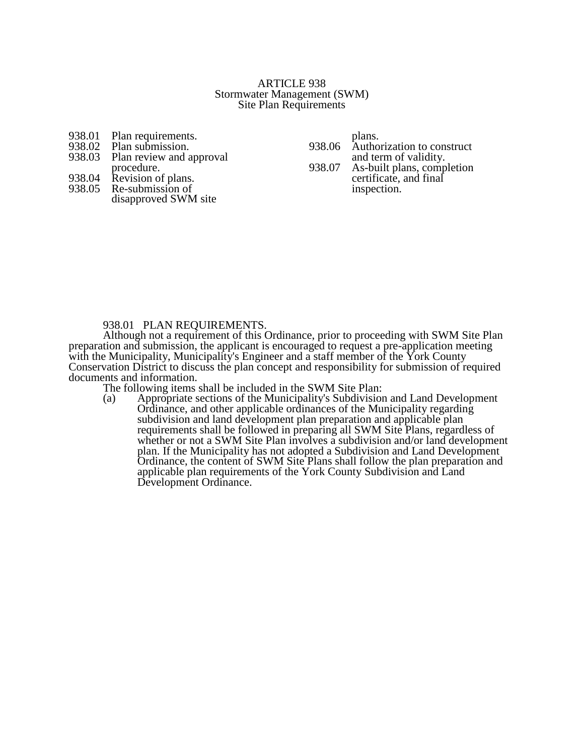### ARTICLE 938 Stormwater Management (SWM) Site Plan Requirements

- 938.01 Plan requirements.<br>938.02 Plan submission.
- 938.02 Plan submission.<br>938.03 Plan review and a
- Plan review and approval procedure.

- 938.04 Revision of plans.<br>938.05 Re-submission of Re-submission of
- disapproved SWM site

plans. 938.06 Authorization to construct and term of validity. 938.07 As-built plans, completion

certificate, and final inspection.

# 938.01 PLAN REQUIREMENTS.

Although not a requirement of this Ordinance, prior to proceeding with SWM Site Plan preparation and submission, the applicant is encouraged to request a pre-application meeting with the Municipality, Municipality's Engineer and a staff member of the York County Conservation District to discuss the plan concept and responsibility for submission of required documents and information.

The following items shall be included in the SWM Site Plan:<br>(a) Appropriate sections of the Municipality's Subdivision Appropriate sections of the Municipality's Subdivision and Land Development Ordinance, and other applicable ordinances of the Municipality regarding subdivision and land development plan preparation and applicable plan requirements shall be followed in preparing all SWM Site Plans, regardless of whether or not a SWM Site Plan involves a subdivision and/or land development plan. If the Municipality has not adopted a Subdivision and Land Development Ordinance, the content of SWM Site Plans shall follow the plan preparation and applicable plan requirements of the York County Subdivision and Land Development Ordinance.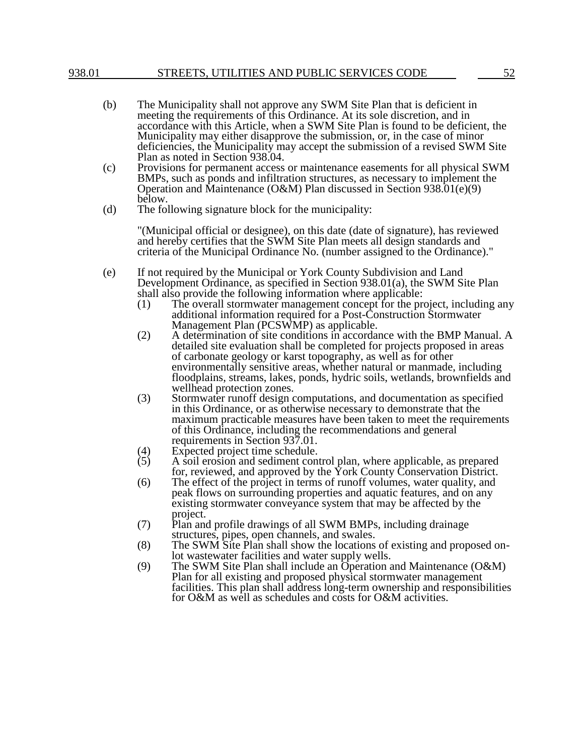- (b) The Municipality shall not approve any SWM Site Plan that is deficient in meeting the requirements of this Ordinance. At its sole discretion, and in accordance with this Article, when a SWM Site Plan is found to be deficient, the Municipality may either disapprove the submission, or, in the case of minor deficiencies, the Municipality may accept the submission of a revised SWM Site Plan as noted in Section 938.04.
- (c) Provisions for permanent access or maintenance easements for all physical SWM BMPs, such as ponds and infiltration structures, as necessary to implement the Operation and Maintenance (O&M) Plan discussed in Section 938.01(e)(9) below.
- (d) The following signature block for the municipality:

"(Municipal official or designee), on this date (date of signature), has reviewed and hereby certifies that the SWM Site Plan meets all design standards and criteria of the Municipal Ordinance No. (number assigned to the Ordinance)."

- (e) If not required by the Municipal or York County Subdivision and Land Development Ordinance, as specified in Section 938.01(a), the SWM Site Plan shall also provide the following information where applicable:
	- (1) The overall stormwater management concept for the project, including any additional information required for a Post-Construction Stormwater Management Plan (PCSWMP) as applicable.
	- (2) A determination of site conditions in accordance with the BMP Manual. A detailed site evaluation shall be completed for projects proposed in areas of carbonate geology or karst topography, as well as for other environmentally sensitive areas, whether natural or manmade, including floodplains, streams, lakes, ponds, hydric soils, wetlands, brownfields and wellhead protection zones.
	- (3) Stormwater runoff design computations, and documentation as specified in this Ordinance, or as otherwise necessary to demonstrate that the maximum practicable measures have been taken to meet the requirements of this Ordinance, including the recommendations and general requirements in Section 937.01.
	- (4) Expected project time schedule.<br>(5) A soil erosion and sediment con
	- (5) A soil erosion and sediment control plan, where applicable, as prepared for, reviewed, and approved by the York County Conservation District.
	- (6) The effect of the project in terms of runoff volumes, water quality, and peak flows on surrounding properties and aquatic features, and on any existing stormwater conveyance system that may be affected by the project.
	- (7) Plan and profile drawings of all SWM BMPs, including drainage structures, pipes, open channels, and swales.
	- (8) The SWM Site Plan shall show the locations of existing and proposed onlot wastewater facilities and water supply wells.
	- (9) The SWM Site Plan shall include an Operation and Maintenance (O&M) Plan for all existing and proposed physical stormwater management facilities. This plan shall address long-term ownership and responsibilities for O&M as well as schedules and costs for O&M activities.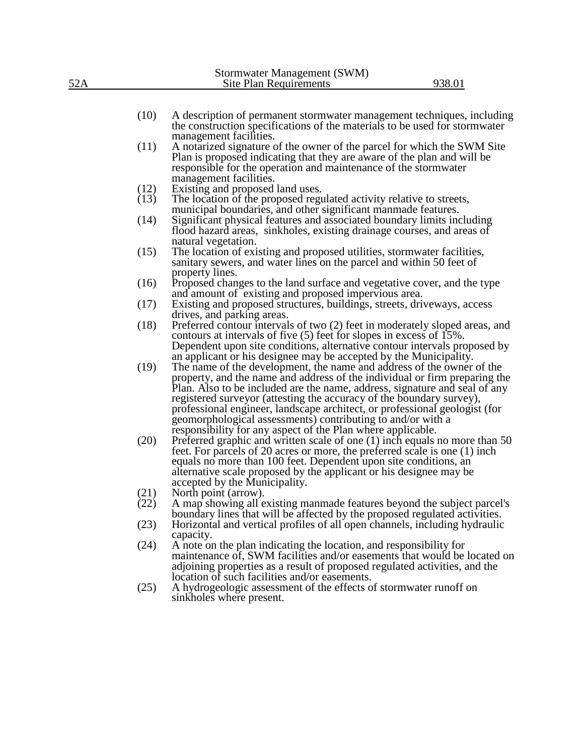|     | Stormwater Management (SWM) |        |
|-----|-----------------------------|--------|
| 52A | Site Plan Requirements      | 938.01 |
|     |                             |        |

- (10) A description of permanent stormwater management techniques, including the construction specifications of the materials to be used for stormwater management facilities.
- (11) A notarized signature of the owner of the parcel for which the SWM Site Plan is proposed indicating that they are aware of the plan and will be responsible for the operation and maintenance of the stormwater management facilities.
- (12) Existing and proposed land uses.<br>(13) The location of the proposed regu
- The location of the proposed regulated activity relative to streets, municipal boundaries, and other significant manmade features.
- (14) Significant physical features and associated boundary limits including flood hazard areas, sinkholes, existing drainage courses, and areas of natural vegetation.
- (15) The location of existing and proposed utilities, stormwater facilities, sanitary sewers, and water lines on the parcel and within 50 feet of property lines.
- (16) Proposed changes to the land surface and vegetative cover, and the type and amount of existing and proposed impervious area.
- (17) Existing and proposed structures, buildings, streets, driveways, access drives, and parking areas.
- (18) Preferred contour intervals of two (2) feet in moderately sloped areas, and contours at intervals of five (5) feet for slopes in excess of 15%. Dependent upon site conditions, alternative contour intervals proposed by an applicant or his designee may be accepted by the Municipality.
- (19) The name of the development, the name and address of the owner of the property, and the name and address of the individual or firm preparing the Plan. Also to be included are the name, address, signature and seal of any registered surveyor (attesting the accuracy of the boundary survey), professional engineer, landscape architect, or professional geologist (for geomorphological assessments) contributing to and/or with a responsibility for any aspect of the Plan where applicable.
- (20) Preferred graphic and written scale of one (1) inch equals no more than 50 feet. For parcels of 20 acres or more, the preferred scale is one (1) inch equals no more than 100 feet. Dependent upon site conditions, an alternative scale proposed by the applicant or his designee may be accepted by the Municipality.
- (21) North point (arrow).<br>(22) A map showing all e
- A map showing all existing manmade features beyond the subject parcel's boundary lines that will be affected by the proposed regulated activities.
- (23) Horizontal and vertical profiles of all open channels, including hydraulic capacity.
- (24) A note on the plan indicating the location, and responsibility for maintenance of, SWM facilities and/or easements that would be located on adjoining properties as a result of proposed regulated activities, and the location of such facilities and/or easements.
- (25) A hydrogeologic assessment of the effects of stormwater runoff on sinkholes where present.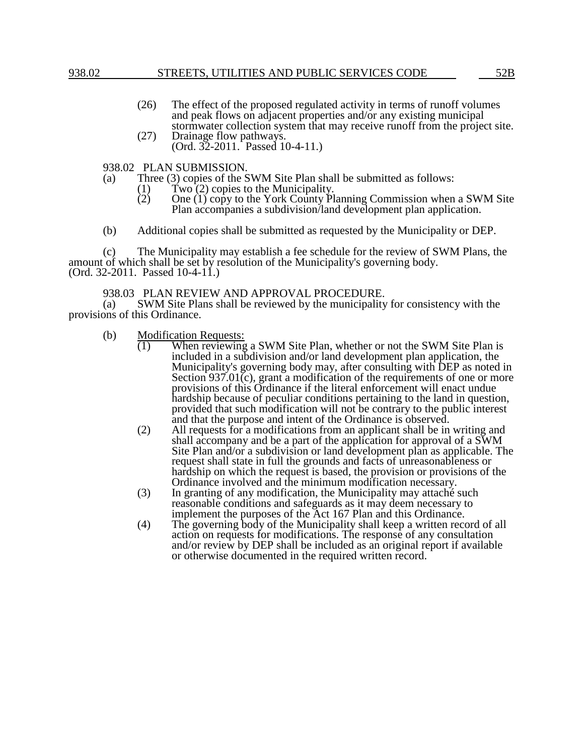- (26) The effect of the proposed regulated activity in terms of runoff volumes and peak flows on adjacent properties and/or any existing municipal stormwater collection system that may receive runoff from the project site.
- (27) Drainage flow pathways. (Ord. 32-2011. Passed 10-4-11.)

938.02 PLAN SUBMISSION.

- (a) Three (3) copies of the SWM Site Plan shall be submitted as follows:
	- (1) Two  $(2)$  copies to the Municipality.<br>
	(2) One  $(1)$  copy to the York County Pl
		- (2) One (1) copy to the York County Planning Commission when a SWM Site Plan accompanies a subdivision/land development plan application.
- (b) Additional copies shall be submitted as requested by the Municipality or DEP.

(c) The Municipality may establish a fee schedule for the review of SWM Plans, the amount of which shall be set by resolution of the Municipality's governing body. (Ord. 32-2011. Passed 10-4-11.)

### 938.03 PLAN REVIEW AND APPROVAL PROCEDURE.

(a) SWM Site Plans shall be reviewed by the municipality for consistency with the provisions of this Ordinance.

- (b) Modification Requests:<br>(1) When reviewing
	- When reviewing a SWM Site Plan, whether or not the SWM Site Plan is included in a subdivision and/or land development plan application, the Municipality's governing body may, after consulting with DEP as noted in Section 937.01(c), grant a modification of the requirements of one or more provisions of this Ordinance if the literal enforcement will enact undue hardship because of peculiar conditions pertaining to the land in question, provided that such modification will not be contrary to the public interest and that the purpose and intent of the Ordinance is observed.
	- (2) All requests for a modifications from an applicant shall be in writing and shall accompany and be a part of the application for approval of a SWM Site Plan and/or a subdivision or land development plan as applicable. The request shall state in full the grounds and facts of unreasonableness or hardship on which the request is based, the provision or provisions of the Ordinance involved and the minimum modification necessary.
	- (3) In granting of any modification, the Municipality may attaché such reasonable conditions and safeguards as it may deem necessary to implement the purposes of the Act 167 Plan and this Ordinance.
	- (4) The governing body of the Municipality shall keep a written record of all action on requests for modifications. The response of any consultation and/or review by DEP shall be included as an original report if available or otherwise documented in the required written record.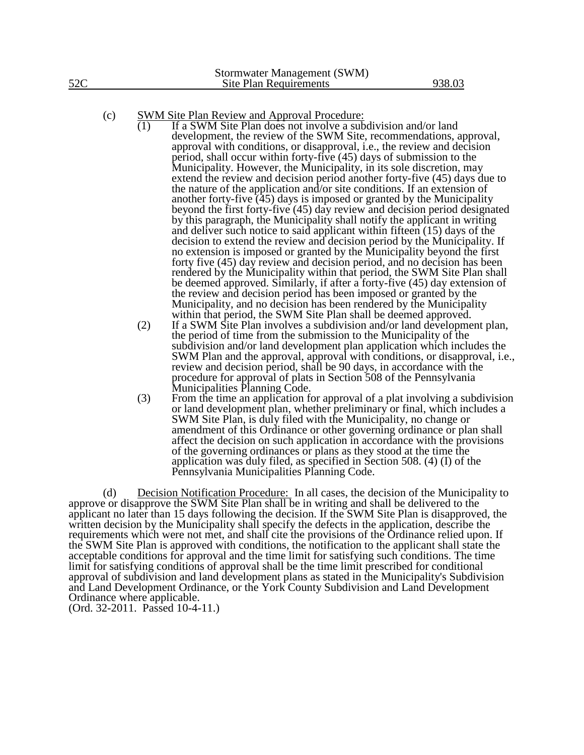- If a SWM Site Plan does not involve a subdivision and/or land development, the review of the SWM Site, recommendations, approval, approval with conditions, or disapproval, i.e., the review and decision period, shall occur within forty-five (45) days of submission to the Municipality. However, the Municipality, in its sole discretion, may extend the review and decision period another forty-five (45) days due to the nature of the application and/or site conditions. If an extension of another forty-five (45) days is imposed or granted by the Municipality beyond the first forty-five (45) day review and decision period designated by this paragraph, the Municipality shall notify the applicant in writing and deliver such notice to said applicant within fifteen (15) days of the decision to extend the review and decision period by the Municipality. If no extension is imposed or granted by the Municipality beyond the first forty five (45) day review and decision period, and no decision has been rendered by the Municipality within that period, the SWM Site Plan shall be deemed approved. Similarly, if after a forty-five (45) day extension of the review and decision period has been imposed or granted by the Municipality, and no decision has been rendered by the Municipality within that period, the SWM Site Plan shall be deemed approved.
- (2) If a SWM Site Plan involves a subdivision and/or land development plan, the period of time from the submission to the Municipality of the subdivision and/or land development plan application which includes the SWM Plan and the approval, approval with conditions, or disapproval, i.e., review and decision period, shall be 90 days, in accordance with the procedure for approval of plats in Section 508 of the Pennsylvania Municipalities Planning Code.
- (3) From the time an application for approval of a plat involving a subdivision or land development plan, whether preliminary or final, which includes a SWM Site Plan, is duly filed with the Municipality, no change or amendment of this Ordinance or other governing ordinance or plan shall affect the decision on such application in accordance with the provisions of the governing ordinances or plans as they stood at the time the application was duly filed, as specified in Section 508. (4) (I) of the Pennsylvania Municipalities Planning Code.

(d) Decision Notification Procedure: In all cases, the decision of the Municipality to approve or disapprove the SWM Site Plan shall be in writing and shall be delivered to the applicant no later than 15 days following the decision. If the SWM Site Plan is disapproved, the written decision by the Municipality shall specify the defects in the application, describe the requirements which were not met, and shall cite the provisions of the Ordinance relied upon. If the SWM Site Plan is approved with conditions, the notification to the applicant shall state the acceptable conditions for approval and the time limit for satisfying such conditions. The time limit for satisfying conditions of approval shall be the time limit prescribed for conditional approval of subdivision and land development plans as stated in the Municipality's Subdivision and Land Development Ordinance, or the York County Subdivision and Land Development Ordinance where applicable. (Ord. 32-2011. Passed 10-4-11.)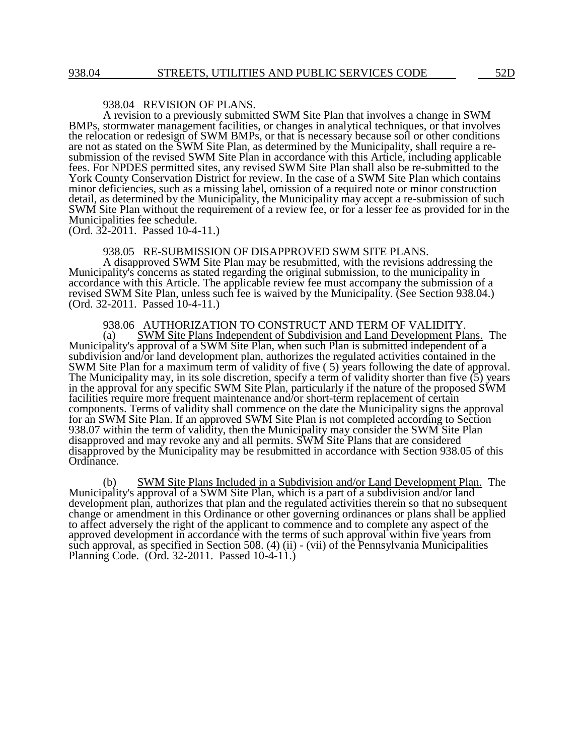# 938.04 REVISION OF PLANS.

A revision to a previously submitted SWM Site Plan that involves a change in SWM BMPs, stormwater management facilities, or changes in analytical techniques, or that involves the relocation or redesign of SWM BMPs, or that is necessary because soil or other conditions are not as stated on the SWM Site Plan, as determined by the Municipality, shall require a resubmission of the revised SWM Site Plan in accordance with this Article, including applicable fees. For NPDES permitted sites, any revised SWM Site Plan shall also be re-submitted to the York County Conservation District for review. In the case of a SWM Site Plan which contains minor deficiencies, such as a missing label, omission of a required note or minor construction detail, as determined by the Municipality, the Municipality may accept a re-submission of such SWM Site Plan without the requirement of a review fee, or for a lesser fee as provided for in the Municipalities fee schedule.

(Ord. 32-2011. Passed 10-4-11.)

#### 938.05 RE-SUBMISSION OF DISAPPROVED SWM SITE PLANS.

A disapproved SWM Site Plan may be resubmitted, with the revisions addressing the Municipality's concerns as stated regarding the original submission, to the municipality in accordance with this Article. The applicable review fee must accompany the submission of a revised SWM Site Plan, unless such fee is waived by the Municipality. (See Section 938.04.) (Ord. 32-2011. Passed 10-4-11.)

938.06 AUTHORIZATION TO CONSTRUCT AND TERM OF VALIDITY.

(a) SWM Site Plans Independent of Subdivision and Land Development Plans. The Municipality's approval of a SWM Site Plan, when such Plan is submitted independent of a subdivision and/or land development plan, authorizes the regulated activities contained in the SWM Site Plan for a maximum term of validity of five ( 5) years following the date of approval. The Municipality may, in its sole discretion, specify a term of validity shorter than five (5) years in the approval for any specific SWM Site Plan, particularly if the nature of the proposed SWM facilities require more frequent maintenance and/or short-term replacement of certain components. Terms of validity shall commence on the date the Municipality signs the approval for an SWM Site Plan. If an approved SWM Site Plan is not completed according to Section 938.07 within the term of validity, then the Municipality may consider the SWM Site Plan disapproved and may revoke any and all permits. SWM Site Plans that are considered disapproved by the Municipality may be resubmitted in accordance with Section 938.05 of this Ordinance.

(b) SWM Site Plans Included in a Subdivision and/or Land Development Plan. The Municipality's approval of a SWM Site Plan, which is a part of a subdivision and/or land development plan, authorizes that plan and the regulated activities therein so that no subsequent change or amendment in this Ordinance or other governing ordinances or plans shall be applied to affect adversely the right of the applicant to commence and to complete any aspect of the approved development in accordance with the terms of such approval within five years from such approval, as specified in Section 508. (4) (ii) - (vii) of the Pennsylvania Municipalities Planning Code. (Ord. 32-2011. Passed 10-4-11.)